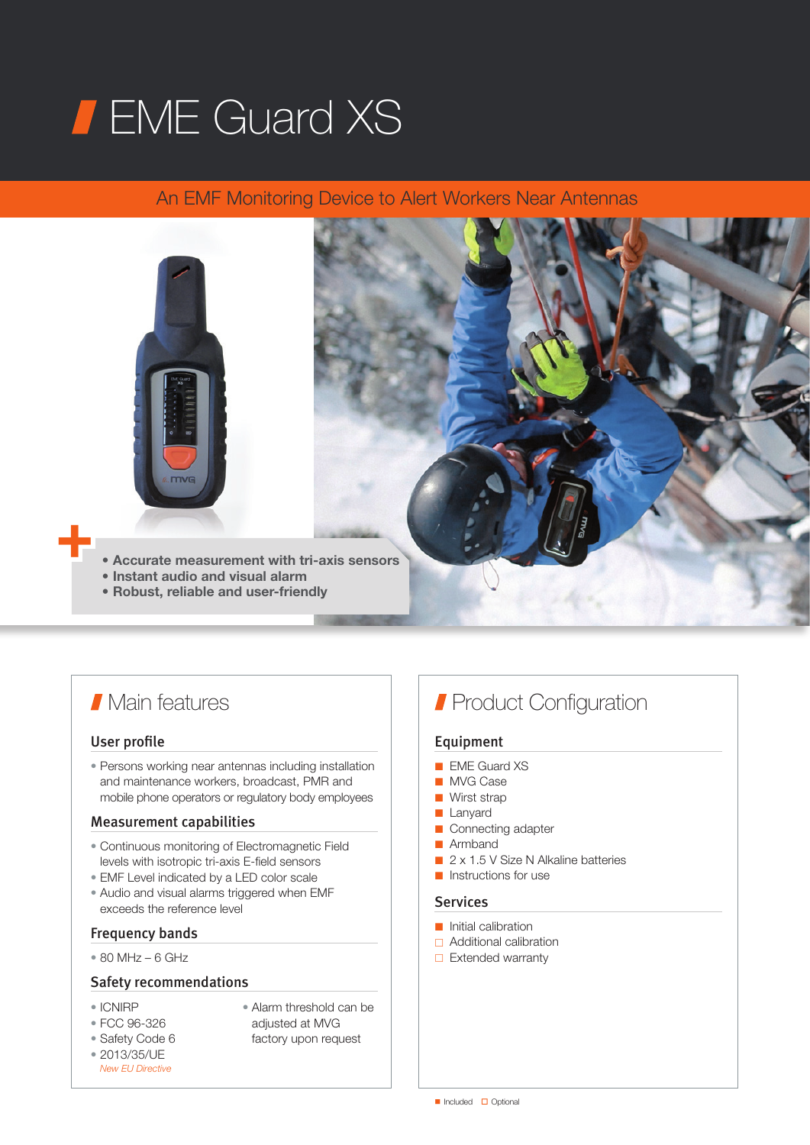# **FIME Guard XS**

# An EMF Monitoring Device to Alert Workers Near Antennas



# **Main features**

#### User profile

• Persons working near antennas including installation and maintenance workers, broadcast, PMR and mobile phone operators or regulatory body employees

# Measurement capabilities

- Continuous monitoring of Electromagnetic Field levels with isotropic tri-axis E-field sensors
- EMF Level indicated by a LED color scale
- Audio and visual alarms triggered when EMF exceeds the reference level

# Frequency bands

 $• 80 MHz – 6 GHz$ 

## Safety recommendations

- ICNIRP
- Alarm threshold can be adjusted at MVG
- FCC 96-326 • Safety Code 6
- factory upon request
- 2013/35/UE *New EU Directive*

 $\blacksquare$  Included  $\blacksquare$  Optional

# **Product Configuration**

# Equipment

- EME Guard XS
- MVG Case
- Wirst strap
- Lanyard
- Connecting adapter
- Armhand
- 2 x 1.5 V Size N Alkaline batteries
- Instructions for use

# Services

- Initial calibration
- Additional calibration
- $\Box$  Extended warranty